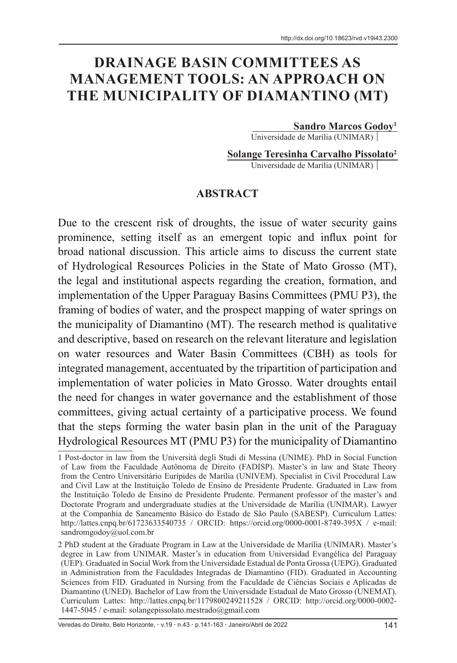# **DRAINAGE BASIN COMMITTEES AS MANAGEMENT TOOLS: AN APPROACH ON THE MUNICIPALITY OF DIAMANTINO (MT)**

#### **Sandro Marcos Godoy1**

Universidade de Marília (UNIMAR)

**Solange Teresinha Carvalho Pissolato2** Universidade de Marília (UNIMAR)

#### **ABSTRACT**

Due to the crescent risk of droughts, the issue of water security gains prominence, setting itself as an emergent topic and influx point for broad national discussion. This article aims to discuss the current state of Hydrological Resources Policies in the State of Mato Grosso (MT), the legal and institutional aspects regarding the creation, formation, and implementation of the Upper Paraguay Basins Committees (PMU P3), the framing of bodies of water, and the prospect mapping of water springs on the municipality of Diamantino (MT). The research method is qualitative and descriptive, based on research on the relevant literature and legislation on water resources and Water Basin Committees (CBH) as tools for integrated management, accentuated by the tripartition of participation and implementation of water policies in Mato Grosso. Water droughts entail the need for changes in water governance and the establishment of those committees, giving actual certainty of a participative process. We found that the steps forming the water basin plan in the unit of the Paraguay Hydrological Resources MT (PMU P3) for the municipality of Diamantino

Veredas do Direito, Belo Horizonte, · v.19 · n.43 · p.141-163 · Janeiro/Abril de 2022 141

<sup>1</sup> Post-doctor in law from the Università degli Studi di Messina (UNIME). PhD in Social Function of Law from the Faculdade Autônoma de Direito (FADISP). Master's in law and State Theory from the Centro Universitário Eurípides de Marília (UNIVEM). Specialist in Civil Procedural Law and Civil Law at the Instituição Toledo de Ensino de Presidente Prudente. Graduated in Law from the Instituição Toledo de Ensino de Presidente Prudente. Permanent professor of the master's and Doctorate Program and undergraduate studies at the Universidade de Marília (UNIMAR). Lawyer at the Companhia de Saneamento Básico do Estado de São Paulo (SABESP). Curriculum Lattes: http://lattes.cnpq.br/61723633540735 / ORCID: https://orcid.org/0000-0001-8749-395X / e-mail: sandromgodoy@uol.com.br

<sup>2</sup> PhD student at the Graduate Program in Law at the Universidade de Marília (UNIMAR). Master's degree in Law from UNIMAR. Master's in education from Universidad Evangélica del Paraguay (UEP). Graduated in Social Work from the Universidade Estadual de Ponta Grossa (UEPG). Graduated in Administration from the Faculdades Integradas de Diamantino (FID). Graduated in Accounting Sciences from FID. Graduated in Nursing from the Faculdade de Ciências Sociais e Aplicadas de Diamantino (UNED). Bachelor of Law from the Universidade Estadual de Mato Grosso (UNEMAT). Curriculum Lattes: http://lattes.cnpq.br/1179800249211528 / ORCID: http://orcid.org/0000-0002- 1447-5045 / e-mail: solangepissolato.mestrado@gmail.com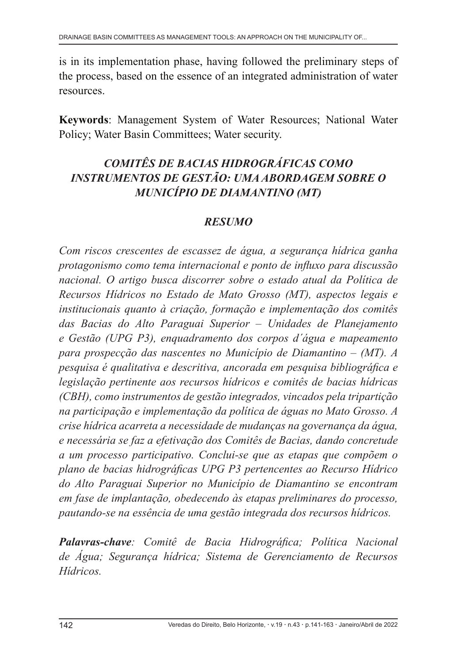is in its implementation phase, having followed the preliminary steps of the process, based on the essence of an integrated administration of water resources.

**Keywords**: Management System of Water Resources; National Water Policy; Water Basin Committees; Water security.

# *COMITÊS DE BACIAS HIDROGRÁFICAS COMO INSTRUMENTOS DE GESTÃO: UMA ABORDAGEM SOBRE O MUNICÍPIO DE DIAMANTINO (MT)*

### *RESUMO*

*Com riscos crescentes de escassez de água, a segurança hídrica ganha protagonismo como tema internacional e ponto de influxo para discussão nacional. O artigo busca discorrer sobre o estado atual da Política de Recursos Hídricos no Estado de Mato Grosso (MT), aspectos legais e institucionais quanto à criação, formação e implementação dos comitês das Bacias do Alto Paraguai Superior – Unidades de Planejamento e Gestão (UPG P3), enquadramento dos corpos d´água e mapeamento para prospecção das nascentes no Município de Diamantino – (MT). A pesquisa é qualitativa e descritiva, ancorada em pesquisa bibliográfica e legislação pertinente aos recursos hídricos e comitês de bacias hídricas (CBH), como instrumentos de gestão integrados, vincados pela tripartição na participação e implementação da política de águas no Mato Grosso. A crise hídrica acarreta a necessidade de mudanças na governança da água, e necessária se faz a efetivação dos Comitês de Bacias, dando concretude a um processo participativo. Conclui-se que as etapas que compõem o plano de bacias hidrográficas UPG P3 pertencentes ao Recurso Hídrico do Alto Paraguai Superior no Município de Diamantino se encontram em fase de implantação, obedecendo às etapas preliminares do processo, pautando-se na essência de uma gestão integrada dos recursos hídricos.*

*Palavras-chave: Comitê de Bacia Hidrográfica; Política Nacional de Água; Segurança hídrica; Sistema de Gerenciamento de Recursos Hídricos.*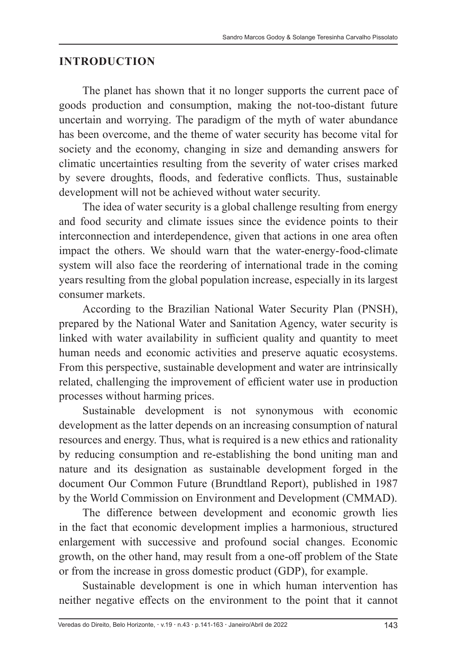#### **INTRODUCTION**

The planet has shown that it no longer supports the current pace of goods production and consumption, making the not-too-distant future uncertain and worrying. The paradigm of the myth of water abundance has been overcome, and the theme of water security has become vital for society and the economy, changing in size and demanding answers for climatic uncertainties resulting from the severity of water crises marked by severe droughts, floods, and federative conflicts. Thus, sustainable development will not be achieved without water security.

The idea of water security is a global challenge resulting from energy and food security and climate issues since the evidence points to their interconnection and interdependence, given that actions in one area often impact the others. We should warn that the water-energy-food-climate system will also face the reordering of international trade in the coming years resulting from the global population increase, especially in its largest consumer markets.

According to the Brazilian National Water Security Plan (PNSH), prepared by the National Water and Sanitation Agency, water security is linked with water availability in sufficient quality and quantity to meet human needs and economic activities and preserve aquatic ecosystems. From this perspective, sustainable development and water are intrinsically related, challenging the improvement of efficient water use in production processes without harming prices.

Sustainable development is not synonymous with economic development as the latter depends on an increasing consumption of natural resources and energy. Thus, what is required is a new ethics and rationality by reducing consumption and re-establishing the bond uniting man and nature and its designation as sustainable development forged in the document Our Common Future (Brundtland Report), published in 1987 by the World Commission on Environment and Development (CMMAD).

The difference between development and economic growth lies in the fact that economic development implies a harmonious, structured enlargement with successive and profound social changes. Economic growth, on the other hand, may result from a one-off problem of the State or from the increase in gross domestic product (GDP), for example.

Sustainable development is one in which human intervention has neither negative effects on the environment to the point that it cannot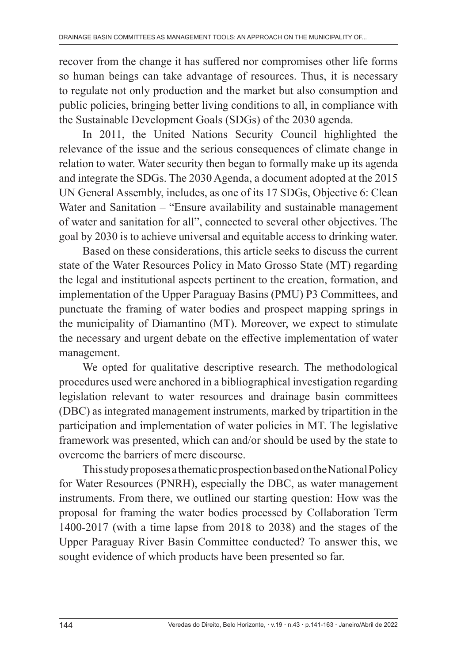recover from the change it has suffered nor compromises other life forms so human beings can take advantage of resources. Thus, it is necessary to regulate not only production and the market but also consumption and public policies, bringing better living conditions to all, in compliance with the Sustainable Development Goals (SDGs) of the 2030 agenda.

In 2011, the United Nations Security Council highlighted the relevance of the issue and the serious consequences of climate change in relation to water. Water security then began to formally make up its agenda and integrate the SDGs. The 2030 Agenda, a document adopted at the 2015 UN General Assembly, includes, as one of its 17 SDGs, Objective 6: Clean Water and Sanitation – "Ensure availability and sustainable management of water and sanitation for all", connected to several other objectives. The goal by 2030 is to achieve universal and equitable access to drinking water.

Based on these considerations, this article seeks to discuss the current state of the Water Resources Policy in Mato Grosso State (MT) regarding the legal and institutional aspects pertinent to the creation, formation, and implementation of the Upper Paraguay Basins (PMU) P3 Committees, and punctuate the framing of water bodies and prospect mapping springs in the municipality of Diamantino (MT). Moreover, we expect to stimulate the necessary and urgent debate on the effective implementation of water management.

We opted for qualitative descriptive research. The methodological procedures used were anchored in a bibliographical investigation regarding legislation relevant to water resources and drainage basin committees (DBC) as integrated management instruments, marked by tripartition in the participation and implementation of water policies in MT. The legislative framework was presented, which can and/or should be used by the state to overcome the barriers of mere discourse.

This study proposes a thematic prospection based on the National Policy for Water Resources (PNRH), especially the DBC, as water management instruments. From there, we outlined our starting question: How was the proposal for framing the water bodies processed by Collaboration Term 1400-2017 (with a time lapse from 2018 to 2038) and the stages of the Upper Paraguay River Basin Committee conducted? To answer this, we sought evidence of which products have been presented so far.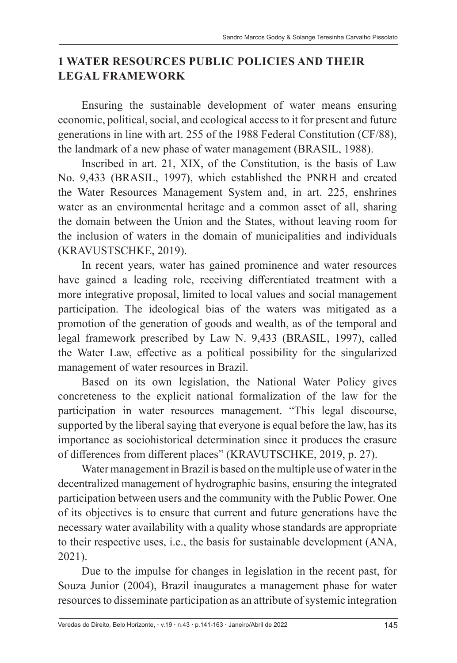#### **1 WATER RESOURCES PUBLIC POLICIES AND THEIR LEGAL FRAMEWORK**

Ensuring the sustainable development of water means ensuring economic, political, social, and ecological access to it for present and future generations in line with art. 255 of the 1988 Federal Constitution (CF/88), the landmark of a new phase of water management (BRASIL, 1988).

Inscribed in art. 21, XIX, of the Constitution, is the basis of Law No. 9,433 (BRASIL, 1997), which established the PNRH and created the Water Resources Management System and, in art. 225, enshrines water as an environmental heritage and a common asset of all, sharing the domain between the Union and the States, without leaving room for the inclusion of waters in the domain of municipalities and individuals (KRAVUSTSCHKE, 2019).

In recent years, water has gained prominence and water resources have gained a leading role, receiving differentiated treatment with a more integrative proposal, limited to local values and social management participation. The ideological bias of the waters was mitigated as a promotion of the generation of goods and wealth, as of the temporal and legal framework prescribed by Law N. 9,433 (BRASIL, 1997), called the Water Law, effective as a political possibility for the singularized management of water resources in Brazil.

Based on its own legislation, the National Water Policy gives concreteness to the explicit national formalization of the law for the participation in water resources management. "This legal discourse, supported by the liberal saying that everyone is equal before the law, has its importance as sociohistorical determination since it produces the erasure of differences from different places" (KRAVUTSCHKE, 2019, p. 27).

Water management in Brazil is based on the multiple use of water in the decentralized management of hydrographic basins, ensuring the integrated participation between users and the community with the Public Power. One of its objectives is to ensure that current and future generations have the necessary water availability with a quality whose standards are appropriate to their respective uses, i.e., the basis for sustainable development (ANA, 2021).

Due to the impulse for changes in legislation in the recent past, for Souza Junior (2004), Brazil inaugurates a management phase for water resources to disseminate participation as an attribute of systemic integration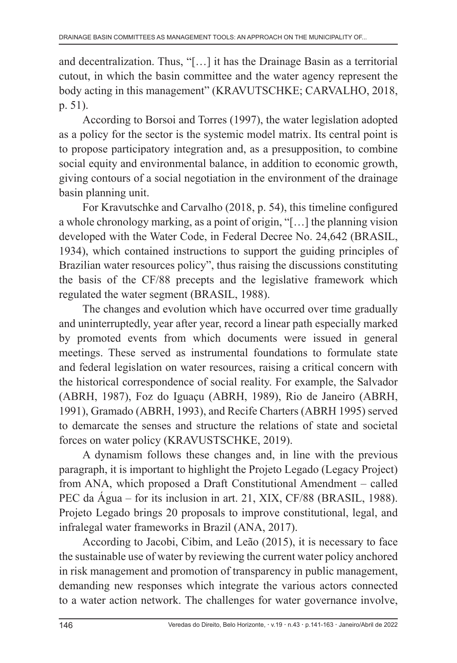and decentralization. Thus, "[…] it has the Drainage Basin as a territorial cutout, in which the basin committee and the water agency represent the body acting in this management" (KRAVUTSCHKE; CARVALHO, 2018, p. 51).

According to Borsoi and Torres (1997), the water legislation adopted as a policy for the sector is the systemic model matrix. Its central point is to propose participatory integration and, as a presupposition, to combine social equity and environmental balance, in addition to economic growth, giving contours of a social negotiation in the environment of the drainage basin planning unit.

For Kravutschke and Carvalho (2018, p. 54), this timeline configured a whole chronology marking, as a point of origin, "[…] the planning vision developed with the Water Code, in Federal Decree No. 24,642 (BRASIL, 1934), which contained instructions to support the guiding principles of Brazilian water resources policy", thus raising the discussions constituting the basis of the CF/88 precepts and the legislative framework which regulated the water segment (BRASIL, 1988).

The changes and evolution which have occurred over time gradually and uninterruptedly, year after year, record a linear path especially marked by promoted events from which documents were issued in general meetings. These served as instrumental foundations to formulate state and federal legislation on water resources, raising a critical concern with the historical correspondence of social reality. For example, the Salvador (ABRH, 1987), Foz do Iguaçu (ABRH, 1989), Rio de Janeiro (ABRH, 1991), Gramado (ABRH, 1993), and Recife Charters (ABRH 1995) served to demarcate the senses and structure the relations of state and societal forces on water policy (KRAVUSTSCHKE, 2019).

A dynamism follows these changes and, in line with the previous paragraph, it is important to highlight the Projeto Legado (Legacy Project) from ANA, which proposed a Draft Constitutional Amendment – called PEC da Água – for its inclusion in art. 21, XIX, CF/88 (BRASIL, 1988). Projeto Legado brings 20 proposals to improve constitutional, legal, and infralegal water frameworks in Brazil (ANA, 2017).

According to Jacobi, Cibim, and Leão (2015), it is necessary to face the sustainable use of water by reviewing the current water policy anchored in risk management and promotion of transparency in public management, demanding new responses which integrate the various actors connected to a water action network. The challenges for water governance involve,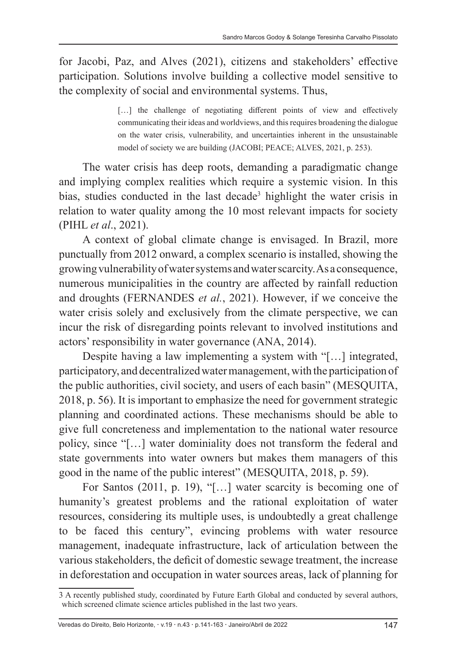for Jacobi, Paz, and Alves (2021), citizens and stakeholders' effective participation. Solutions involve building a collective model sensitive to the complexity of social and environmental systems. Thus,

> [...] the challenge of negotiating different points of view and effectively communicating their ideas and worldviews, and this requires broadening the dialogue on the water crisis, vulnerability, and uncertainties inherent in the unsustainable model of society we are building (JACOBI; PEACE; ALVES, 2021, p. 253).

The water crisis has deep roots, demanding a paradigmatic change and implying complex realities which require a systemic vision. In this bias, studies conducted in the last decade<sup>3</sup> highlight the water crisis in relation to water quality among the 10 most relevant impacts for society (PIHL *et al*., 2021).

A context of global climate change is envisaged. In Brazil, more punctually from 2012 onward, a complex scenario is installed, showing the growing vulnerability of water systems and water scarcity. As a consequence, numerous municipalities in the country are affected by rainfall reduction and droughts (FERNANDES *et al.*, 2021). However, if we conceive the water crisis solely and exclusively from the climate perspective, we can incur the risk of disregarding points relevant to involved institutions and actors' responsibility in water governance (ANA, 2014).

Despite having a law implementing a system with "[…] integrated, participatory, and decentralized water management, with the participation of the public authorities, civil society, and users of each basin" (MESQUITA, 2018, p. 56). It is important to emphasize the need for government strategic planning and coordinated actions. These mechanisms should be able to give full concreteness and implementation to the national water resource policy, since "[…] water dominiality does not transform the federal and state governments into water owners but makes them managers of this good in the name of the public interest" (MESQUITA, 2018, p. 59).

For Santos (2011, p. 19), "[…] water scarcity is becoming one of humanity's greatest problems and the rational exploitation of water resources, considering its multiple uses, is undoubtedly a great challenge to be faced this century", evincing problems with water resource management, inadequate infrastructure, lack of articulation between the various stakeholders, the deficit of domestic sewage treatment, the increase in deforestation and occupation in water sources areas, lack of planning for

<sup>3</sup> A recently published study, coordinated by Future Earth Global and conducted by several authors, which screened climate science articles published in the last two years.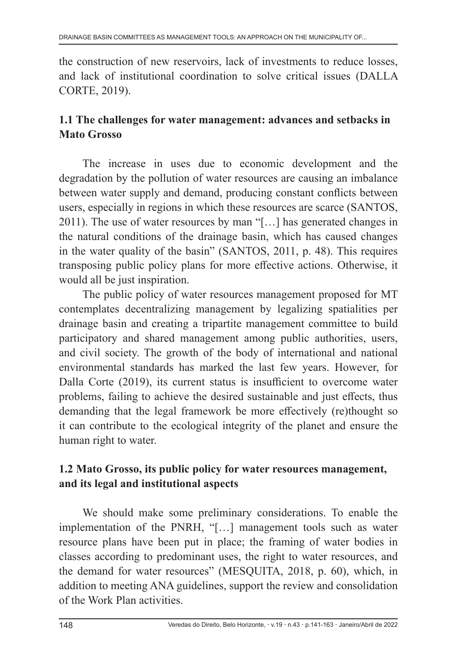the construction of new reservoirs, lack of investments to reduce losses, and lack of institutional coordination to solve critical issues (DALLA CORTE, 2019).

#### **1.1 The challenges for water management: advances and setbacks in Mato Grosso**

The increase in uses due to economic development and the degradation by the pollution of water resources are causing an imbalance between water supply and demand, producing constant conflicts between users, especially in regions in which these resources are scarce (SANTOS, 2011). The use of water resources by man "[…] has generated changes in the natural conditions of the drainage basin, which has caused changes in the water quality of the basin" (SANTOS, 2011, p. 48). This requires transposing public policy plans for more effective actions. Otherwise, it would all be just inspiration.

The public policy of water resources management proposed for MT contemplates decentralizing management by legalizing spatialities per drainage basin and creating a tripartite management committee to build participatory and shared management among public authorities, users, and civil society. The growth of the body of international and national environmental standards has marked the last few years. However, for Dalla Corte (2019), its current status is insufficient to overcome water problems, failing to achieve the desired sustainable and just effects, thus demanding that the legal framework be more effectively (re)thought so it can contribute to the ecological integrity of the planet and ensure the human right to water.

### **1.2 Mato Grosso, its public policy for water resources management, and its legal and institutional aspects**

We should make some preliminary considerations. To enable the implementation of the PNRH, "[…] management tools such as water resource plans have been put in place; the framing of water bodies in classes according to predominant uses, the right to water resources, and the demand for water resources" (MESQUITA, 2018, p. 60), which, in addition to meeting ANA guidelines, support the review and consolidation of the Work Plan activities.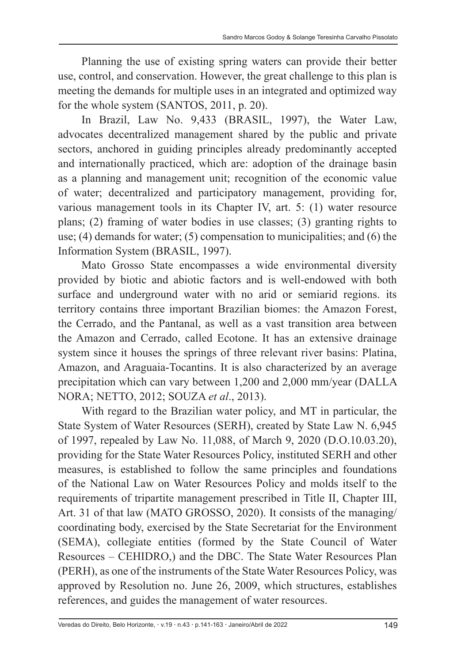Planning the use of existing spring waters can provide their better use, control, and conservation. However, the great challenge to this plan is meeting the demands for multiple uses in an integrated and optimized way for the whole system (SANTOS, 2011, p. 20).

In Brazil, Law No. 9,433 (BRASIL, 1997), the Water Law, advocates decentralized management shared by the public and private sectors, anchored in guiding principles already predominantly accepted and internationally practiced, which are: adoption of the drainage basin as a planning and management unit; recognition of the economic value of water; decentralized and participatory management, providing for, various management tools in its Chapter IV, art. 5: (1) water resource plans; (2) framing of water bodies in use classes; (3) granting rights to use; (4) demands for water; (5) compensation to municipalities; and (6) the Information System (BRASIL, 1997).

Mato Grosso State encompasses a wide environmental diversity provided by biotic and abiotic factors and is well-endowed with both surface and underground water with no arid or semiarid regions. its territory contains three important Brazilian biomes: the Amazon Forest, the Cerrado, and the Pantanal, as well as a vast transition area between the Amazon and Cerrado, called Ecotone. It has an extensive drainage system since it houses the springs of three relevant river basins: Platina, Amazon, and Araguaia-Tocantins. It is also characterized by an average precipitation which can vary between 1,200 and 2,000 mm/year (DALLA NORA; NETTO, 2012; SOUZA *et al*., 2013).

With regard to the Brazilian water policy, and MT in particular, the State System of Water Resources (SERH), created by State Law N. 6,945 of 1997, repealed by Law No. 11,088, of March 9, 2020 (D.O.10.03.20), providing for the State Water Resources Policy, instituted SERH and other measures, is established to follow the same principles and foundations of the National Law on Water Resources Policy and molds itself to the requirements of tripartite management prescribed in Title II, Chapter III, Art. 31 of that law (MATO GROSSO, 2020). It consists of the managing/ coordinating body, exercised by the State Secretariat for the Environment (SEMA), collegiate entities (formed by the State Council of Water Resources – CEHIDRO,) and the DBC. The State Water Resources Plan (PERH), as one of the instruments of the State Water Resources Policy, was approved by Resolution no. June 26, 2009, which structures, establishes references, and guides the management of water resources.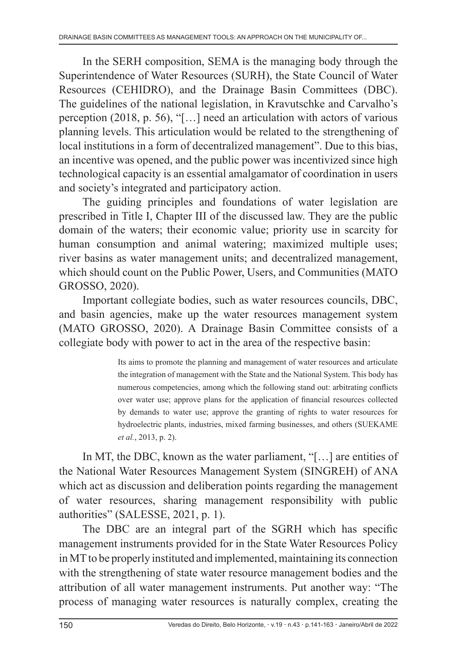In the SERH composition, SEMA is the managing body through the Superintendence of Water Resources (SURH), the State Council of Water Resources (CEHIDRO), and the Drainage Basin Committees (DBC). The guidelines of the national legislation, in Kravutschke and Carvalho's perception (2018, p. 56), "[…] need an articulation with actors of various planning levels. This articulation would be related to the strengthening of local institutions in a form of decentralized management". Due to this bias, an incentive was opened, and the public power was incentivized since high technological capacity is an essential amalgamator of coordination in users and society's integrated and participatory action.

The guiding principles and foundations of water legislation are prescribed in Title I, Chapter III of the discussed law. They are the public domain of the waters; their economic value; priority use in scarcity for human consumption and animal watering; maximized multiple uses; river basins as water management units; and decentralized management, which should count on the Public Power, Users, and Communities (MATO GROSSO, 2020).

Important collegiate bodies, such as water resources councils, DBC, and basin agencies, make up the water resources management system (MATO GROSSO, 2020). A Drainage Basin Committee consists of a collegiate body with power to act in the area of the respective basin:

> Its aims to promote the planning and management of water resources and articulate the integration of management with the State and the National System. This body has numerous competencies, among which the following stand out: arbitrating conflicts over water use; approve plans for the application of financial resources collected by demands to water use; approve the granting of rights to water resources for hydroelectric plants, industries, mixed farming businesses, and others (SUEKAME *et al.*, 2013, p. 2).

In MT, the DBC, known as the water parliament, "[…] are entities of the National Water Resources Management System (SINGREH) of ANA which act as discussion and deliberation points regarding the management of water resources, sharing management responsibility with public authorities" (SALESSE, 2021, p. 1).

The DBC are an integral part of the SGRH which has specific management instruments provided for in the State Water Resources Policy in MT to be properly instituted and implemented, maintaining its connection with the strengthening of state water resource management bodies and the attribution of all water management instruments. Put another way: "The process of managing water resources is naturally complex, creating the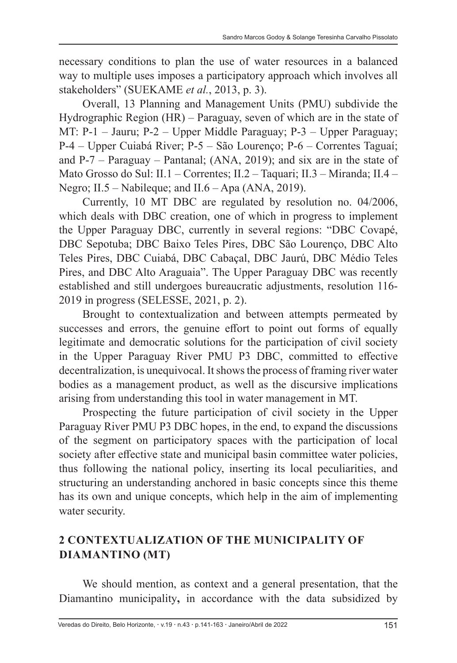necessary conditions to plan the use of water resources in a balanced way to multiple uses imposes a participatory approach which involves all stakeholders" (SUEKAME *et al.*, 2013, p. 3).

Overall, 13 Planning and Management Units (PMU) subdivide the Hydrographic Region (HR) – Paraguay, seven of which are in the state of MT: P-1 – Jauru; P-2 – Upper Middle Paraguay; P-3 – Upper Paraguay; P-4 – Upper Cuiabá River; P-5 – São Lourenço; P-6 – Correntes Taguaí; and P-7 – Paraguay – Pantanal; (ANA, 2019); and six are in the state of Mato Grosso do Sul: II.1 – Correntes; II.2 – Taquari; II.3 – Miranda; II.4 – Negro; II.5 – Nabileque; and II.6 – Apa (ANA, 2019).

Currently, 10 MT DBC are regulated by resolution no. 04/2006, which deals with DBC creation, one of which in progress to implement the Upper Paraguay DBC, currently in several regions: "DBC Covapé, DBC Sepotuba; DBC Baixo Teles Pires, DBC São Lourenço, DBC Alto Teles Pires, DBC Cuiabá, DBC Cabaçal, DBC Jaurú, DBC Médio Teles Pires, and DBC Alto Araguaia". The Upper Paraguay DBC was recently established and still undergoes bureaucratic adjustments, resolution 116- 2019 in progress (SELESSE, 2021, p. 2).

Brought to contextualization and between attempts permeated by successes and errors, the genuine effort to point out forms of equally legitimate and democratic solutions for the participation of civil society in the Upper Paraguay River PMU P3 DBC, committed to effective decentralization, is unequivocal. It shows the process of framing river water bodies as a management product, as well as the discursive implications arising from understanding this tool in water management in MT.

Prospecting the future participation of civil society in the Upper Paraguay River PMU P3 DBC hopes, in the end, to expand the discussions of the segment on participatory spaces with the participation of local society after effective state and municipal basin committee water policies, thus following the national policy, inserting its local peculiarities, and structuring an understanding anchored in basic concepts since this theme has its own and unique concepts, which help in the aim of implementing water security.

### **2 CONTEXTUALIZATION OF THE MUNICIPALITY OF DIAMANTINO (MT)**

We should mention, as context and a general presentation, that the Diamantino municipality**,** in accordance with the data subsidized by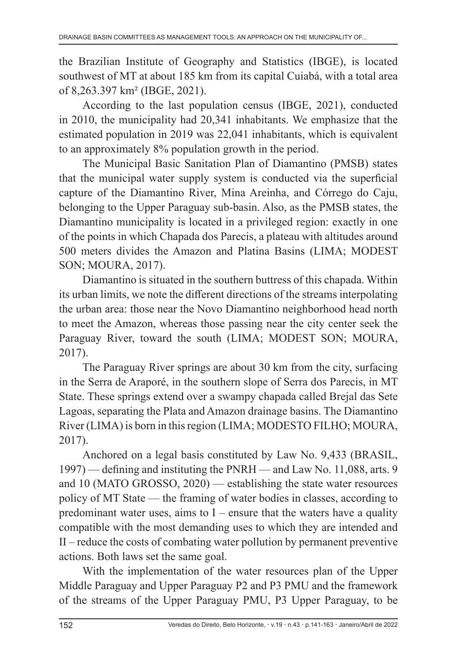the Brazilian Institute of Geography and Statistics (IBGE), is located southwest of MT at about 185 km from its capital Cuiabá, with a total area of 8,263.397 km² (IBGE, 2021).

According to the last population census (IBGE, 2021), conducted in 2010, the municipality had 20,341 inhabitants. We emphasize that the estimated population in 2019 was 22,041 inhabitants, which is equivalent to an approximately 8% population growth in the period.

The Municipal Basic Sanitation Plan of Diamantino (PMSB) states that the municipal water supply system is conducted via the superficial capture of the Diamantino River, Mina Areinha, and Córrego do Caju, belonging to the Upper Paraguay sub-basin. Also, as the PMSB states, the Diamantino municipality is located in a privileged region: exactly in one of the points in which Chapada dos Parecis, a plateau with altitudes around 500 meters divides the Amazon and Platina Basins (LIMA; MODEST SON; MOURA, 2017).

Diamantino is situated in the southern buttress of this chapada. Within its urban limits, we note the different directions of the streams interpolating the urban area: those near the Novo Diamantino neighborhood head north to meet the Amazon, whereas those passing near the city center seek the Paraguay River, toward the south (LIMA; MODEST SON; MOURA, 2017).

The Paraguay River springs are about 30 km from the city, surfacing in the Serra de Araporé, in the southern slope of Serra dos Parecis, in MT State. These springs extend over a swampy chapada called Brejal das Sete Lagoas, separating the Plata and Amazon drainage basins. The Diamantino River (LIMA) is born in this region (LIMA; MODESTO FILHO; MOURA, 2017).

Anchored on a legal basis constituted by Law No. 9,433 (BRASIL, 1997) — defining and instituting the PNRH — and Law No. 11,088, arts. 9 and 10 (MATO GROSSO, 2020) — establishing the state water resources policy of MT State — the framing of water bodies in classes, according to predominant water uses, aims to  $I$  – ensure that the waters have a quality compatible with the most demanding uses to which they are intended and II – reduce the costs of combating water pollution by permanent preventive actions. Both laws set the same goal.

With the implementation of the water resources plan of the Upper Middle Paraguay and Upper Paraguay P2 and P3 PMU and the framework of the streams of the Upper Paraguay PMU, P3 Upper Paraguay, to be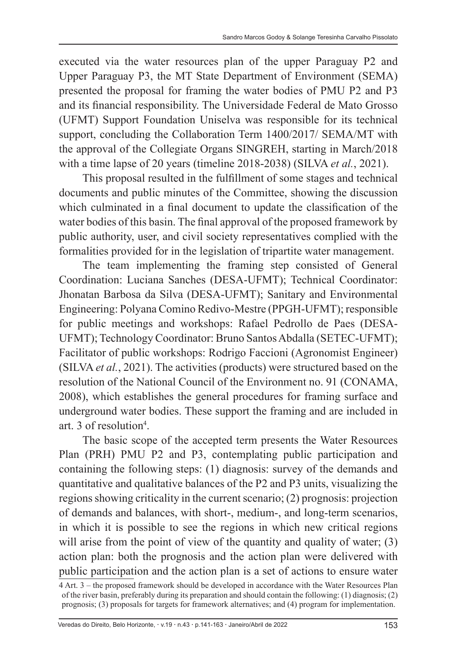executed via the water resources plan of the upper Paraguay P2 and Upper Paraguay P3, the MT State Department of Environment (SEMA) presented the proposal for framing the water bodies of PMU P2 and P3 and its financial responsibility. The Universidade Federal de Mato Grosso (UFMT) Support Foundation Uniselva was responsible for its technical support, concluding the Collaboration Term 1400/2017/ SEMA/MT with the approval of the Collegiate Organs SINGREH, starting in March/2018 with a time lapse of 20 years (timeline 2018-2038) (SILVA *et al.*, 2021).

This proposal resulted in the fulfillment of some stages and technical documents and public minutes of the Committee, showing the discussion which culminated in a final document to update the classification of the water bodies of this basin. The final approval of the proposed framework by public authority, user, and civil society representatives complied with the formalities provided for in the legislation of tripartite water management.

The team implementing the framing step consisted of General Coordination: Luciana Sanches (DESA-UFMT); Technical Coordinator: Jhonatan Barbosa da Silva (DESA-UFMT); Sanitary and Environmental Engineering: Polyana Comino Redivo-Mestre (PPGH-UFMT); responsible for public meetings and workshops: Rafael Pedrollo de Paes (DESA-UFMT); Technology Coordinator: Bruno Santos Abdalla (SETEC-UFMT); Facilitator of public workshops: Rodrigo Faccioni (Agronomist Engineer) (SILVA *et al.*, 2021). The activities (products) were structured based on the resolution of the National Council of the Environment no. 91 (CONAMA, 2008), which establishes the general procedures for framing surface and underground water bodies. These support the framing and are included in art. 3 of resolution<sup>4</sup>.

The basic scope of the accepted term presents the Water Resources Plan (PRH) PMU P2 and P3, contemplating public participation and containing the following steps: (1) diagnosis: survey of the demands and quantitative and qualitative balances of the P2 and P3 units, visualizing the regions showing criticality in the current scenario; (2) prognosis: projection of demands and balances, with short-, medium-, and long-term scenarios, in which it is possible to see the regions in which new critical regions will arise from the point of view of the quantity and quality of water; (3) action plan: both the prognosis and the action plan were delivered with public participation and the action plan is a set of actions to ensure water

<sup>4</sup> Art. 3 – the proposed framework should be developed in accordance with the Water Resources Plan of the river basin, preferably during its preparation and should contain the following: (1) diagnosis; (2) prognosis; (3) proposals for targets for framework alternatives; and (4) program for implementation.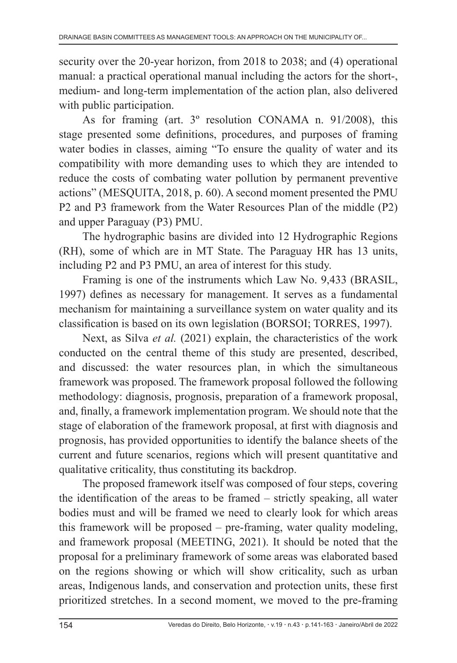security over the 20-year horizon, from 2018 to 2038; and (4) operational manual: a practical operational manual including the actors for the short-, medium- and long-term implementation of the action plan, also delivered with public participation.

As for framing (art. 3º resolution CONAMA n. 91/2008), this stage presented some definitions, procedures, and purposes of framing water bodies in classes, aiming "To ensure the quality of water and its compatibility with more demanding uses to which they are intended to reduce the costs of combating water pollution by permanent preventive actions" (MESQUITA, 2018, p. 60). A second moment presented the PMU P2 and P3 framework from the Water Resources Plan of the middle (P2) and upper Paraguay (P3) PMU.

The hydrographic basins are divided into 12 Hydrographic Regions (RH), some of which are in MT State. The Paraguay HR has 13 units, including P2 and P3 PMU, an area of interest for this study.

Framing is one of the instruments which Law No. 9,433 (BRASIL, 1997) defines as necessary for management. It serves as a fundamental mechanism for maintaining a surveillance system on water quality and its classification is based on its own legislation (BORSOI; TORRES, 1997).

Next, as Silva *et al.* (2021) explain, the characteristics of the work conducted on the central theme of this study are presented, described, and discussed: the water resources plan, in which the simultaneous framework was proposed. The framework proposal followed the following methodology: diagnosis, prognosis, preparation of a framework proposal, and, finally, a framework implementation program. We should note that the stage of elaboration of the framework proposal, at first with diagnosis and prognosis, has provided opportunities to identify the balance sheets of the current and future scenarios, regions which will present quantitative and qualitative criticality, thus constituting its backdrop.

The proposed framework itself was composed of four steps, covering the identification of the areas to be framed – strictly speaking, all water bodies must and will be framed we need to clearly look for which areas this framework will be proposed – pre-framing, water quality modeling, and framework proposal (MEETING, 2021). It should be noted that the proposal for a preliminary framework of some areas was elaborated based on the regions showing or which will show criticality, such as urban areas, Indigenous lands, and conservation and protection units, these first prioritized stretches. In a second moment, we moved to the pre-framing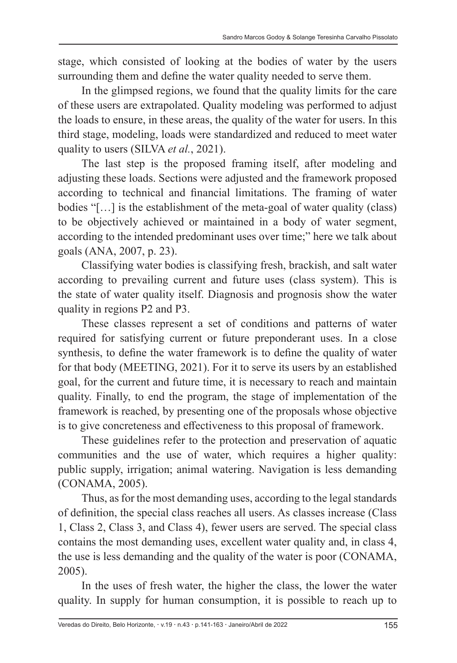stage, which consisted of looking at the bodies of water by the users surrounding them and define the water quality needed to serve them.

In the glimpsed regions, we found that the quality limits for the care of these users are extrapolated. Quality modeling was performed to adjust the loads to ensure, in these areas, the quality of the water for users. In this third stage, modeling, loads were standardized and reduced to meet water quality to users (SILVA *et al.*, 2021).

The last step is the proposed framing itself, after modeling and adjusting these loads. Sections were adjusted and the framework proposed according to technical and financial limitations. The framing of water bodies "[…] is the establishment of the meta-goal of water quality (class) to be objectively achieved or maintained in a body of water segment, according to the intended predominant uses over time;" here we talk about goals (ANA, 2007, p. 23).

Classifying water bodies is classifying fresh, brackish, and salt water according to prevailing current and future uses (class system). This is the state of water quality itself. Diagnosis and prognosis show the water quality in regions P2 and P3.

These classes represent a set of conditions and patterns of water required for satisfying current or future preponderant uses. In a close synthesis, to define the water framework is to define the quality of water for that body (MEETING, 2021). For it to serve its users by an established goal, for the current and future time, it is necessary to reach and maintain quality. Finally, to end the program, the stage of implementation of the framework is reached, by presenting one of the proposals whose objective is to give concreteness and effectiveness to this proposal of framework.

These guidelines refer to the protection and preservation of aquatic communities and the use of water, which requires a higher quality: public supply, irrigation; animal watering. Navigation is less demanding (CONAMA, 2005).

Thus, as for the most demanding uses, according to the legal standards of definition, the special class reaches all users. As classes increase (Class 1, Class 2, Class 3, and Class 4), fewer users are served. The special class contains the most demanding uses, excellent water quality and, in class 4, the use is less demanding and the quality of the water is poor (CONAMA, 2005).

In the uses of fresh water, the higher the class, the lower the water quality. In supply for human consumption, it is possible to reach up to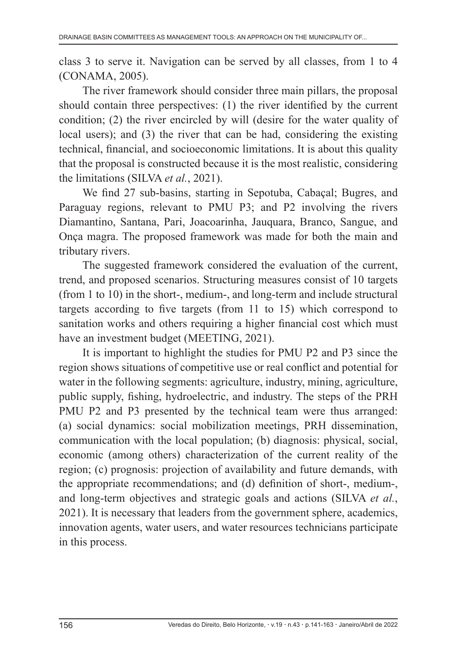class 3 to serve it. Navigation can be served by all classes, from 1 to 4 (CONAMA, 2005).

The river framework should consider three main pillars, the proposal should contain three perspectives: (1) the river identified by the current condition; (2) the river encircled by will (desire for the water quality of local users); and (3) the river that can be had, considering the existing technical, financial, and socioeconomic limitations. It is about this quality that the proposal is constructed because it is the most realistic, considering the limitations (SILVA *et al.*, 2021).

We find 27 sub-basins, starting in Sepotuba, Cabaçal; Bugres, and Paraguay regions, relevant to PMU P3; and P2 involving the rivers Diamantino, Santana, Pari, Joacoarinha, Jauquara, Branco, Sangue, and Onça magra. The proposed framework was made for both the main and tributary rivers.

The suggested framework considered the evaluation of the current, trend, and proposed scenarios. Structuring measures consist of 10 targets (from 1 to 10) in the short-, medium-, and long-term and include structural targets according to five targets (from 11 to 15) which correspond to sanitation works and others requiring a higher financial cost which must have an investment budget (MEETING, 2021).

It is important to highlight the studies for PMU P2 and P3 since the region shows situations of competitive use or real conflict and potential for water in the following segments: agriculture, industry, mining, agriculture, public supply, fishing, hydroelectric, and industry. The steps of the PRH PMU P2 and P3 presented by the technical team were thus arranged: (a) social dynamics: social mobilization meetings, PRH dissemination, communication with the local population; (b) diagnosis: physical, social, economic (among others) characterization of the current reality of the region; (c) prognosis: projection of availability and future demands, with the appropriate recommendations; and (d) definition of short-, medium-, and long-term objectives and strategic goals and actions (SILVA *et al.*, 2021). It is necessary that leaders from the government sphere, academics, innovation agents, water users, and water resources technicians participate in this process.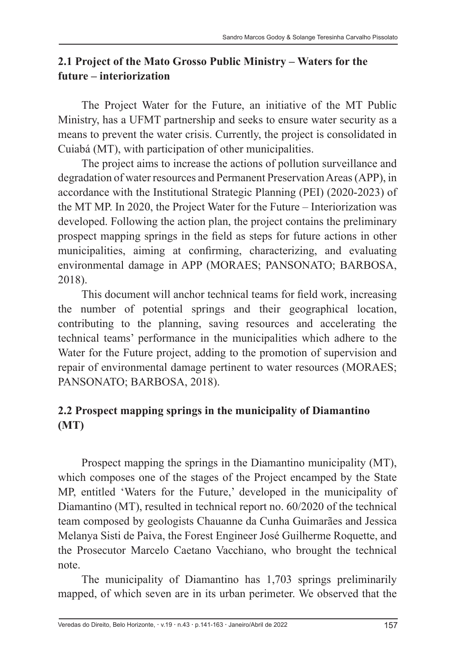#### **2.1 Project of the Mato Grosso Public Ministry – Waters for the future – interiorization**

The Project Water for the Future, an initiative of the MT Public Ministry, has a UFMT partnership and seeks to ensure water security as a means to prevent the water crisis. Currently, the project is consolidated in Cuiabá (MT), with participation of other municipalities.

The project aims to increase the actions of pollution surveillance and degradation of water resources and Permanent Preservation Areas (APP), in accordance with the Institutional Strategic Planning (PEI) (2020-2023) of the MT MP. In 2020, the Project Water for the Future – Interiorization was developed. Following the action plan, the project contains the preliminary prospect mapping springs in the field as steps for future actions in other municipalities, aiming at confirming, characterizing, and evaluating environmental damage in APP (MORAES; PANSONATO; BARBOSA, 2018).

This document will anchor technical teams for field work, increasing the number of potential springs and their geographical location, contributing to the planning, saving resources and accelerating the technical teams' performance in the municipalities which adhere to the Water for the Future project, adding to the promotion of supervision and repair of environmental damage pertinent to water resources (MORAES; PANSONATO; BARBOSA, 2018).

# **2.2 Prospect mapping springs in the municipality of Diamantino (MT)**

Prospect mapping the springs in the Diamantino municipality (MT), which composes one of the stages of the Project encamped by the State MP, entitled 'Waters for the Future,' developed in the municipality of Diamantino (MT), resulted in technical report no. 60/2020 of the technical team composed by geologists Chauanne da Cunha Guimarães and Jessica Melanya Sisti de Paiva, the Forest Engineer José Guilherme Roquette, and the Prosecutor Marcelo Caetano Vacchiano, who brought the technical note.

The municipality of Diamantino has 1,703 springs preliminarily mapped, of which seven are in its urban perimeter. We observed that the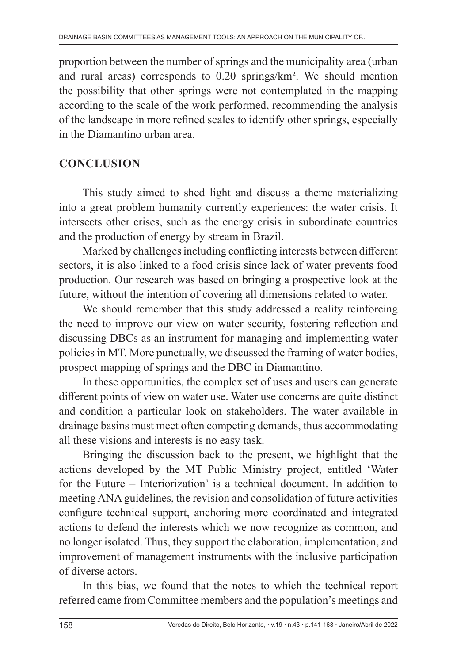proportion between the number of springs and the municipality area (urban and rural areas) corresponds to 0.20 springs/km². We should mention the possibility that other springs were not contemplated in the mapping according to the scale of the work performed, recommending the analysis of the landscape in more refined scales to identify other springs, especially in the Diamantino urban area.

## **CONCLUSION**

This study aimed to shed light and discuss a theme materializing into a great problem humanity currently experiences: the water crisis. It intersects other crises, such as the energy crisis in subordinate countries and the production of energy by stream in Brazil.

Marked by challenges including conflicting interests between different sectors, it is also linked to a food crisis since lack of water prevents food production. Our research was based on bringing a prospective look at the future, without the intention of covering all dimensions related to water.

We should remember that this study addressed a reality reinforcing the need to improve our view on water security, fostering reflection and discussing DBCs as an instrument for managing and implementing water policies in MT. More punctually, we discussed the framing of water bodies, prospect mapping of springs and the DBC in Diamantino.

In these opportunities, the complex set of uses and users can generate different points of view on water use. Water use concerns are quite distinct and condition a particular look on stakeholders. The water available in drainage basins must meet often competing demands, thus accommodating all these visions and interests is no easy task.

Bringing the discussion back to the present, we highlight that the actions developed by the MT Public Ministry project, entitled 'Water for the Future – Interiorization' is a technical document. In addition to meeting ANA guidelines, the revision and consolidation of future activities configure technical support, anchoring more coordinated and integrated actions to defend the interests which we now recognize as common, and no longer isolated. Thus, they support the elaboration, implementation, and improvement of management instruments with the inclusive participation of diverse actors.

In this bias, we found that the notes to which the technical report referred came from Committee members and the population's meetings and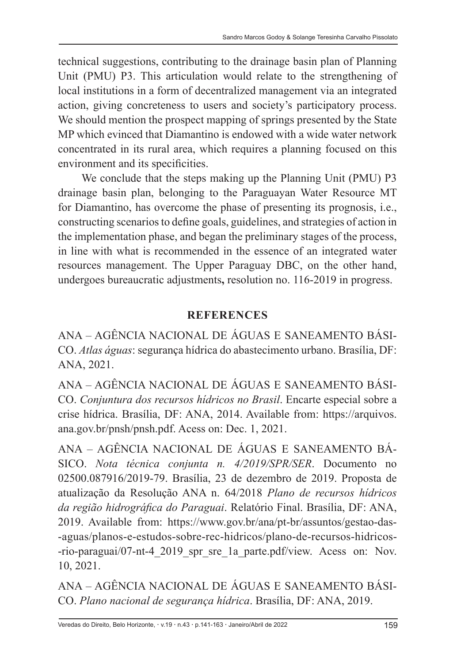technical suggestions, contributing to the drainage basin plan of Planning Unit (PMU) P3. This articulation would relate to the strengthening of local institutions in a form of decentralized management via an integrated action, giving concreteness to users and society's participatory process. We should mention the prospect mapping of springs presented by the State MP which evinced that Diamantino is endowed with a wide water network concentrated in its rural area, which requires a planning focused on this environment and its specificities.

We conclude that the steps making up the Planning Unit (PMU) P3 drainage basin plan, belonging to the Paraguayan Water Resource MT for Diamantino, has overcome the phase of presenting its prognosis, i.e., constructing scenarios to define goals, guidelines, and strategies of action in the implementation phase, and began the preliminary stages of the process, in line with what is recommended in the essence of an integrated water resources management. The Upper Paraguay DBC, on the other hand, undergoes bureaucratic adjustments**,** resolution no. 116-2019 in progress.

#### **REFERENCES**

ANA – AGÊNCIA NACIONAL DE ÁGUAS E SANEAMENTO BÁSI-CO. *Atlas águas*: segurança hídrica do abastecimento urbano. Brasília, DF: ANA, 2021.

ANA – AGÊNCIA NACIONAL DE ÁGUAS E SANEAMENTO BÁSI-CO. *Conjuntura dos recursos hídricos no Brasil*. Encarte especial sobre a crise hídrica. Brasília, DF: ANA, 2014. Available from: https://arquivos. ana.gov.br/pnsh/pnsh.pdf. Acess on: Dec. 1, 2021.

ANA – AGÊNCIA NACIONAL DE ÁGUAS E SANEAMENTO BÁ-SICO. *Nota técnica conjunta n. 4/2019/SPR/SER*. Documento no 02500.087916/2019-79. Brasília, 23 de dezembro de 2019. Proposta de atualização da Resolução ANA n. 64/2018 *Plano de recursos hídricos da região hidrográfica do Paraguai*. Relatório Final. Brasília, DF: ANA, 2019. Available from: https://www.gov.br/ana/pt-br/assuntos/gestao-das- -aguas/planos-e-estudos-sobre-rec-hidricos/plano-de-recursos-hidricos- -rio-paraguai/07-nt-4\_2019\_spr\_sre\_1a\_parte.pdf/view. Acess on: Nov. 10, 2021.

ANA – AGÊNCIA NACIONAL DE ÁGUAS E SANEAMENTO BÁSI-CO. *Plano nacional de segurança hídrica*. Brasília, DF: ANA, 2019.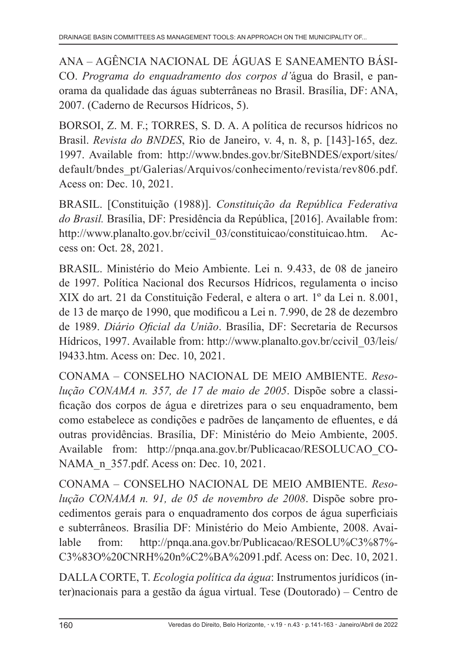ANA – AGÊNCIA NACIONAL DE ÁGUAS E SANEAMENTO BÁSI-CO. *Programa do enquadramento dos corpos d'*água do Brasil, e panorama da qualidade das águas subterrâneas no Brasil. Brasília, DF: ANA, 2007. (Caderno de Recursos Hídricos, 5).

BORSOI, Z. M. F.; TORRES, S. D. A. A política de recursos hídricos no Brasil. *Revista do BNDES*, Rio de Janeiro, v. 4, n. 8, p. [143]-165, dez. 1997. Available from: http://www.bndes.gov.br/SiteBNDES/export/sites/ default/bndes\_pt/Galerias/Arquivos/conhecimento/revista/rev806.pdf. Acess on: Dec. 10, 2021.

BRASIL. [Constituição (1988)]. *Constituição da República Federativa do Brasil.* Brasília, DF: Presidência da República, [2016]. Available from: http://www.planalto.gov.br/ccivil\_03/constituicao/constituicao.htm. Access on: Oct. 28, 2021.

BRASIL. Ministério do Meio Ambiente. Lei n. 9.433, de 08 de janeiro de 1997. Política Nacional dos Recursos Hídricos, regulamenta o inciso XIX do art. 21 da Constituição Federal, e altera o art. 1º da Lei n. 8.001, de 13 de março de 1990, que modificou a Lei n. 7.990, de 28 de dezembro de 1989. *Diário Oficial da União*. Brasília, DF: Secretaria de Recursos Hídricos, 1997. Available from: http://www.planalto.gov.br/ccivil\_03/leis/ l9433.htm. Acess on: Dec. 10, 2021.

CONAMA – CONSELHO NACIONAL DE MEIO AMBIENTE. *Resolução CONAMA n. 357, de 17 de maio de 2005*. Dispõe sobre a classificação dos corpos de água e diretrizes para o seu enquadramento, bem como estabelece as condições e padrões de lançamento de efluentes, e dá outras providências. Brasília, DF: Ministério do Meio Ambiente, 2005. Available from: http://pnqa.ana.gov.br/Publicacao/RESOLUCAO\_CO-NAMA n 357.pdf. Acess on: Dec. 10, 2021.

CONAMA – CONSELHO NACIONAL DE MEIO AMBIENTE. *Resolução CONAMA n. 91, de 05 de novembro de 2008*. Dispõe sobre procedimentos gerais para o enquadramento dos corpos de água superficiais e subterrâneos. Brasília DF: Ministério do Meio Ambiente, 2008. Available from: http://pnqa.ana.gov.br/Publicacao/RESOLU%C3%87%- C3%83O%20CNRH%20n%C2%BA%2091.pdf. Acess on: Dec. 10, 2021.

DALLA CORTE, T. *Ecologia política da água*: Instrumentos jurídicos (inter)nacionais para a gestão da água virtual. Tese (Doutorado) – Centro de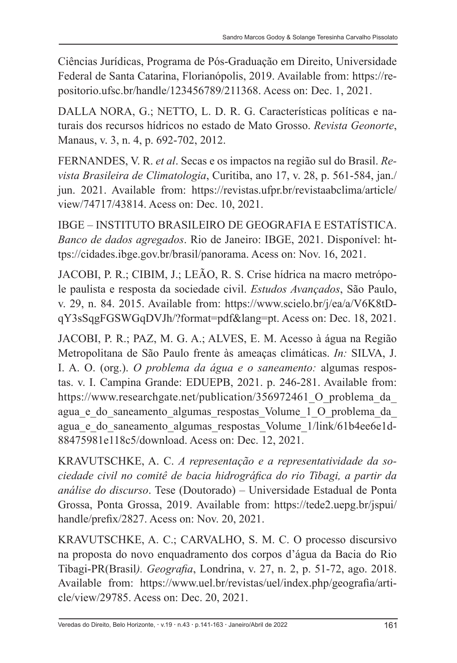Ciências Jurídicas, Programa de Pós-Graduação em Direito, Universidade Federal de Santa Catarina, Florianópolis, 2019. Available from: https://repositorio.ufsc.br/handle/123456789/211368. Acess on: Dec. 1, 2021.

DALLA NORA, G.; NETTO, L. D. R. G. Características políticas e naturais dos recursos hídricos no estado de Mato Grosso. *Revista Geonorte*, Manaus, v. 3, n. 4, p. 692-702, 2012.

FERNANDES, V. R. *et al*. Secas e os impactos na região sul do Brasil. *Revista Brasileira de Climatologia*, Curitiba, ano 17, v. 28, p. 561-584, jan./ jun. 2021. Available from: https://revistas.ufpr.br/revistaabclima/article/ view/74717/43814. Acess on: Dec. 10, 2021.

IBGE – INSTITUTO BRASILEIRO DE GEOGRAFIA E ESTATÍSTICA. *Banco de dados agregados*. Rio de Janeiro: IBGE, 2021. Disponível: https://cidades.ibge.gov.br/brasil/panorama. Acess on: Nov. 16, 2021.

JACOBI, P. R.; CIBIM, J.; LEÃO, R. S. Crise hídrica na macro metrópole paulista e resposta da sociedade civil. *Estudos Avançados*, São Paulo, v. 29, n. 84. 2015. Available from: https://www.scielo.br/j/ea/a/V6K8tDqY3sSqgFGSWGqDVJh/?format=pdf&lang=pt. Acess on: Dec. 18, 2021.

JACOBI, P. R.; PAZ, M. G. A.; ALVES, E. M. Acesso à água na Região Metropolitana de São Paulo frente às ameaças climáticas. *In:* SILVA, J. I. A. O. (org.). *O problema da água e o saneamento:* algumas respostas. v. I. Campina Grande: EDUEPB, 2021. p. 246-281. Available from: https://www.researchgate.net/publication/356972461 O\_problema\_da\_ agua e do saneamento algumas respostas Volume 1 O problema da agua e do saneamento algumas respostas Volume 1/link/61b4ee6e1d-88475981e118c5/download. Acess on: Dec. 12, 2021.

KRAVUTSCHKE, A. C. *A representação e a representatividade da sociedade civil no comitê de bacia hidrográfica do rio Tibagi, a partir da análise do discurso*. Tese (Doutorado) – Universidade Estadual de Ponta Grossa, Ponta Grossa, 2019. Available from: https://tede2.uepg.br/jspui/ handle/prefix/2827. Acess on: Nov. 20, 2021.

KRAVUTSCHKE, A. C.; CARVALHO, S. M. C. O processo discursivo na proposta do novo enquadramento dos corpos d'água da Bacia do Rio Tibagi-PR(Brasil*). Geografia*, Londrina, v. 27, n. 2, p. 51-72, ago. 2018. Available from: https://www.uel.br/revistas/uel/index.php/geografia/article/view/29785. Acess on: Dec. 20, 2021.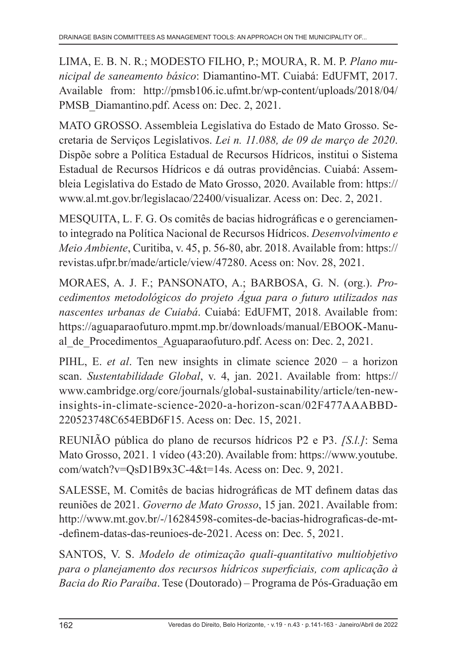LIMA, E. B. N. R.; MODESTO FILHO, P.; MOURA, R. M. P. *Plano municipal de saneamento básico*: Diamantino-MT. Cuiabá: EdUFMT, 2017. Available from: http://pmsb106.ic.ufmt.br/wp-content/uploads/2018/04/ PMSB\_Diamantino.pdf. Acess on: Dec. 2, 2021.

MATO GROSSO. Assembleia Legislativa do Estado de Mato Grosso. Secretaria de Serviços Legislativos. *Lei n. 11.088, de 09 de março de 2020*. Dispõe sobre a Política Estadual de Recursos Hídricos, institui o Sistema Estadual de Recursos Hídricos e dá outras providências. Cuiabá: Assembleia Legislativa do Estado de Mato Grosso, 2020. Available from: https:// www.al.mt.gov.br/legislacao/22400/visualizar. Acess on: Dec. 2, 2021.

MESQUITA, L. F. G. Os comitês de bacias hidrográficas e o gerenciamento integrado na Política Nacional de Recursos Hídricos. *Desenvolvimento e Meio Ambiente*, Curitiba, v. 45, p. 56-80, abr. 2018. Available from: https:// revistas.ufpr.br/made/article/view/47280. Acess on: Nov. 28, 2021.

MORAES, A. J. F.; PANSONATO, A.; BARBOSA, G. N. (org.). *Procedimentos metodológicos do projeto Água para o futuro utilizados nas nascentes urbanas de Cuiabá*. Cuiabá: EdUFMT, 2018. Available from: https://aguaparaofuturo.mpmt.mp.br/downloads/manual/EBOOK-Manual de Procedimentos Aguaparaofuturo.pdf. Acess on: Dec. 2, 2021.

PIHL, E. *et al*. Ten new insights in climate science 2020 – a horizon scan. *Sustentabilidade Global*, v. 4, jan. 2021. Available from: https:// www.cambridge.org/core/journals/global-sustainability/article/ten-newinsights-in-climate-science-2020-a-horizon-scan/02F477AAABBD-220523748C654EBD6F15. Acess on: Dec. 15, 2021.

REUNIÃO pública do plano de recursos hídricos P2 e P3. *[S.l.]*: Sema Mato Grosso, 2021. 1 vídeo (43:20). Available from: https://www.youtube. com/watch?v=QsD1B9x3C-4&t=14s. Acess on: Dec. 9, 2021.

SALESSE, M. Comitês de bacias hidrográficas de MT definem datas das reuniões de 2021. *Governo de Mato Grosso*, 15 jan. 2021. Available from: http://www.mt.gov.br/-/16284598-comites-de-bacias-hidrograficas-de-mt- -definem-datas-das-reunioes-de-2021. Acess on: Dec. 5, 2021.

SANTOS, V. S. *Modelo de otimização quali-quantitativo multiobjetivo para o planejamento dos recursos hídricos superficiais, com aplicação à Bacia do Rio Paraíba*. Tese (Doutorado) – Programa de Pós-Graduação em